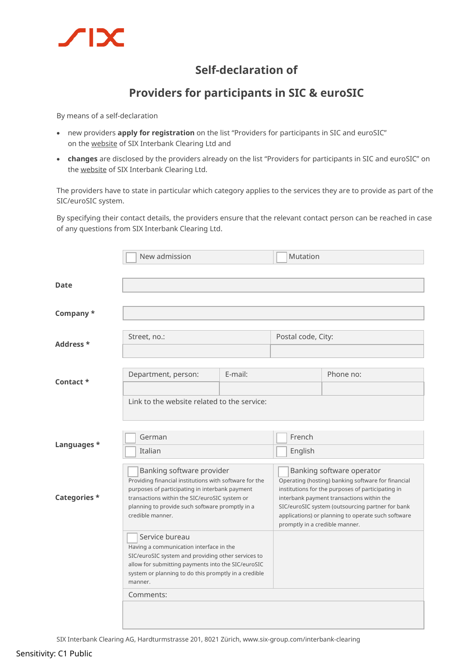

## **Self-declaration of**

## **Providers for participants in SIC & euroSIC**

By means of a self-declaration

- new providers **apply for registration** on the list "Providers for participants in SIC and euroSIC" on th[e website](https://www.six-group.com/en/products-services/banking-services/interbank-clearing/info-center.html#scrollTo=dienstleister) of SIX Interbank Clearing Ltd and
- **changes** are disclosed by the providers already on the list "Providers for participants in SIC and euroSIC" on the [website](https://www.six-group.com/en/products-services/banking-services/interbank-clearing/info-center.html#scrollTo=dienstleister) of SIX Interbank Clearing Ltd.

The providers have to state in particular which category applies to the services they are to provide as part of the SIC/euroSIC system.

By specifying their contact details, the providers ensure that the relevant contact person can be reached in case of any questions from SIX Interbank Clearing Ltd.

|              | New admission                                                                                                                                                                                                                                                                                                                                                                                                                                                                                             |         | Mutation                                                                                                                                                                                                                                                                                                                      |           |  |
|--------------|-----------------------------------------------------------------------------------------------------------------------------------------------------------------------------------------------------------------------------------------------------------------------------------------------------------------------------------------------------------------------------------------------------------------------------------------------------------------------------------------------------------|---------|-------------------------------------------------------------------------------------------------------------------------------------------------------------------------------------------------------------------------------------------------------------------------------------------------------------------------------|-----------|--|
|              |                                                                                                                                                                                                                                                                                                                                                                                                                                                                                                           |         |                                                                                                                                                                                                                                                                                                                               |           |  |
| Date         |                                                                                                                                                                                                                                                                                                                                                                                                                                                                                                           |         |                                                                                                                                                                                                                                                                                                                               |           |  |
| Company *    |                                                                                                                                                                                                                                                                                                                                                                                                                                                                                                           |         |                                                                                                                                                                                                                                                                                                                               |           |  |
| Address *    | Street, no.:                                                                                                                                                                                                                                                                                                                                                                                                                                                                                              |         | Postal code, City:                                                                                                                                                                                                                                                                                                            |           |  |
| Contact *    | Department, person:                                                                                                                                                                                                                                                                                                                                                                                                                                                                                       | E-mail: |                                                                                                                                                                                                                                                                                                                               | Phone no: |  |
|              | Link to the website related to the service:                                                                                                                                                                                                                                                                                                                                                                                                                                                               |         |                                                                                                                                                                                                                                                                                                                               |           |  |
| Languages *  | German<br>Italian                                                                                                                                                                                                                                                                                                                                                                                                                                                                                         |         | French<br>English                                                                                                                                                                                                                                                                                                             |           |  |
| Categories * | Banking software provider<br>Providing financial institutions with software for the<br>purposes of participating in interbank payment<br>transactions within the SIC/euroSIC system or<br>planning to provide such software promptly in a<br>credible manner.<br>Service bureau<br>Having a communication interface in the<br>SIC/euroSIC system and providing other services to<br>allow for submitting payments into the SIC/euroSIC<br>system or planning to do this promptly in a credible<br>manner. |         | Banking software operator<br>Operating (hosting) banking software for financial<br>institutions for the purposes of participating in<br>interbank payment transactions within the<br>SIC/euroSIC system (outsourcing partner for bank<br>applications) or planning to operate such software<br>promptly in a credible manner. |           |  |
|              |                                                                                                                                                                                                                                                                                                                                                                                                                                                                                                           |         |                                                                                                                                                                                                                                                                                                                               |           |  |
|              | Comments:                                                                                                                                                                                                                                                                                                                                                                                                                                                                                                 |         |                                                                                                                                                                                                                                                                                                                               |           |  |

SIX Interbank Clearing AG, Hardturmstrasse 201, 8021 Zürich[, www.six-group.com/interbank-clearing](http://www.six-group.com/interbank-clearing)